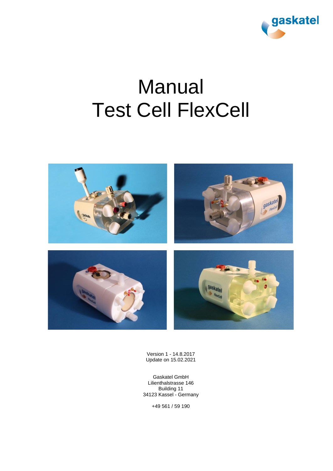

# Manual Test Cell FlexCell



Version 1 - 14.8.2017 Update on 15.02.2021

Gaskatel GmbH Lilienthalstrasse 146 Building 11 34123 Kassel - Germany

+49 561 / 59 190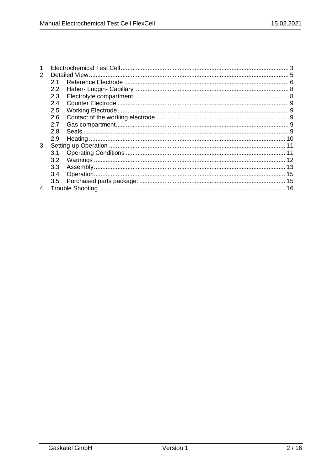| 2 |                  |  |  |
|---|------------------|--|--|
|   | 2.1              |  |  |
|   | 2.2              |  |  |
|   | 2.3              |  |  |
|   | 2.4              |  |  |
|   | 2.5              |  |  |
|   | 2.6              |  |  |
|   | 2.7              |  |  |
|   | 2.8              |  |  |
|   | 2.9              |  |  |
| 3 |                  |  |  |
|   | 3.1              |  |  |
|   | 3.2              |  |  |
|   | 3.3 <sub>2</sub> |  |  |
|   | 3.4              |  |  |
|   | 3.5              |  |  |
| 4 |                  |  |  |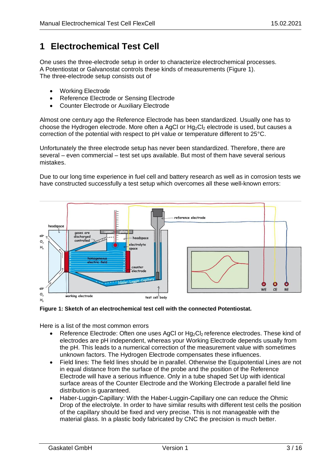# <span id="page-2-0"></span>**1 Electrochemical Test Cell**

One uses the three-electrode setup in order to characterize electrochemical processes. A Potentiostat or Galvanostat controls these kinds of measurements [\(Figure 1\)](#page-2-1). The three-electrode setup consists out of

- Working Electrode
- Reference Electrode or Sensing Electrode
- Counter Electrode or Auxiliary Electrode

Almost one century ago the Reference Electrode has been standardized. Usually one has to choose the Hydrogen electrode. More often a AgCI or  $Hg_2Cl_2$  electrode is used, but causes a correction of the potential with respect to pH value or temperature different to 25°C.

Unfortunately the three electrode setup has never been standardized. Therefore, there are several – even commercial – test set ups available. But most of them have several serious mistakes.

Due to our long time experience in fuel cell and battery research as well as in corrosion tests we have constructed successfully a test setup which overcomes all these well-known errors:



<span id="page-2-1"></span>

Here is a list of the most common errors

- Reference Electrode: Often one uses AgCl or Hg<sub>2</sub>Cl<sub>2</sub> reference electrodes. These kind of electrodes are pH independent, whereas your Working Electrode depends usually from the pH. This leads to a numerical correction of the measurement value with sometimes unknown factors. The Hydrogen Electrode compensates these influences.
- Field lines: The field lines should be in parallel. Otherwise the Equipotential Lines are not in equal distance from the surface of the probe and the position of the Reference Electrode will have a serious influence. Only in a tube shaped Set Up with identical surface areas of the Counter Electrode and the Working Electrode a parallel field line distribution is guaranteed.
- Haber-Luggin-Capillary: With the Haber-Luggin-Capillary one can reduce the Ohmic Drop of the electrolyte. In order to have similar results with different test cells the position of the capillary should be fixed and very precise. This is not manageable with the material glass. In a plastic body fabricated by CNC the precision is much better.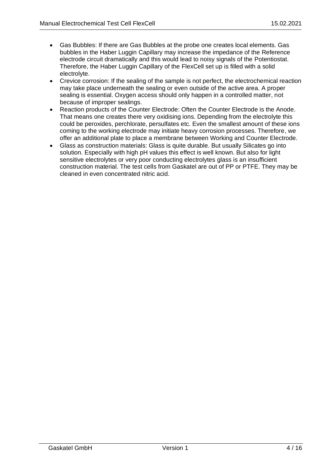- Gas Bubbles: If there are Gas Bubbles at the probe one creates local elements. Gas bubbles in the Haber Luggin Capillary may increase the impedance of the Reference electrode circuit dramatically and this would lead to noisy signals of the Potentiostat. Therefore, the Haber Luggin Capillary of the FlexCell set up is filled with a solid electrolyte.
- Crevice corrosion: If the sealing of the sample is not perfect, the electrochemical reaction may take place underneath the sealing or even outside of the active area. A proper sealing is essential. Oxygen access should only happen in a controlled matter, not because of improper sealings.
- Reaction products of the Counter Electrode: Often the Counter Electrode is the Anode. That means one creates there very oxidising ions. Depending from the electrolyte this could be peroxides, perchlorate, persulfates etc. Even the smallest amount of these ions coming to the working electrode may initiate heavy corrosion processes. Therefore, we offer an additional plate to place a membrane between Working and Counter Electrode.
- Glass as construction materials: Glass is quite durable. But usually Silicates go into solution. Especially with high pH values this effect is well known. But also for light sensitive electrolytes or very poor conducting electrolytes glass is an insufficient construction material. The test cells from Gaskatel are out of PP or PTFE. They may be cleaned in even concentrated nitric acid.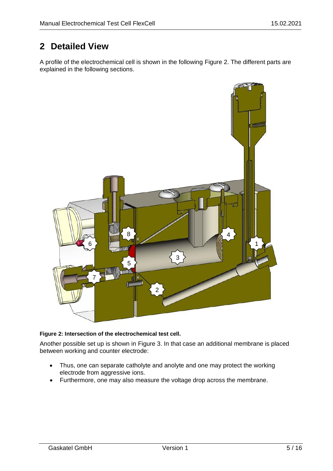# <span id="page-4-0"></span>**2 Detailed View**

A profile of the electrochemical cell is shown in the following [Figure 2.](#page-4-1) The different parts are explained in the following sections.



#### <span id="page-4-1"></span>**Figure 2: Intersection of the electrochemical test cell.**

Another possible set up is shown in [Figure 3.](#page-5-1) In that case an additional membrane is placed between working and counter electrode:

- Thus, one can separate catholyte and anolyte and one may protect the working electrode from aggressive ions.
- Furthermore, one may also measure the voltage drop across the membrane.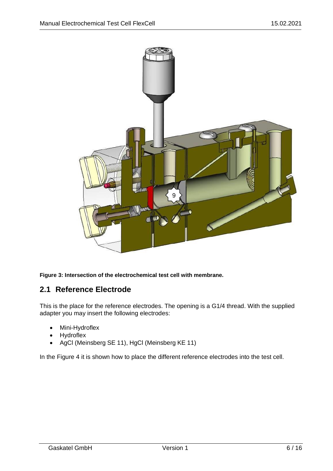

<span id="page-5-1"></span>**Figure 3: Intersection of the electrochemical test cell with membrane.**

## <span id="page-5-0"></span>**2.1 Reference Electrode**

This is the place for the reference electrodes. The opening is a G1/4 thread. With the supplied adapter you may insert the following electrodes:

- Mini-Hydroflex
- Hydroflex
- AgCl (Meinsberg SE 11), HgCl (Meinsberg KE 11)

In the [Figure 4](#page-6-0) it is shown how to place the different reference electrodes into the test cell.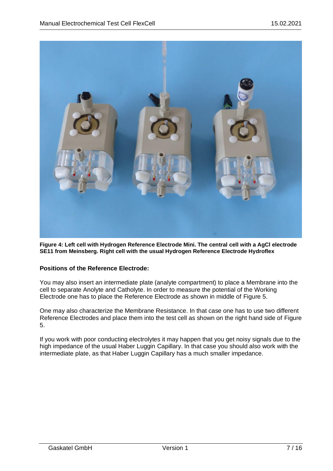

<span id="page-6-0"></span>**Figure 4: Left cell with Hydrogen Reference Electrode Mini. The central cell with a AgCl electrode SE11 from Meinsberg. Right cell with the usual Hydrogen Reference Electrode Hydroflex**

#### **Positions of the Reference Electrode:**

You may also insert an intermediate plate (analyte compartment) to place a Membrane into the cell to separate Anolyte and Catholyte. In order to measure the potential of the Working Electrode one has to place the Reference Electrode as shown in middle of [Figure 5.](#page-7-2)

One may also characterize the Membrane Resistance. In that case one has to use two different Reference Electrodes and place them into the test cell as shown on the right hand side of [Figure](#page-7-2)  [5.](#page-7-2)

If you work with poor conducting electrolytes it may happen that you get noisy signals due to the high impedance of the usual Haber Luggin Capillary. In that case you should also work with the intermediate plate, as that Haber Luggin Capillary has a much smaller impedance.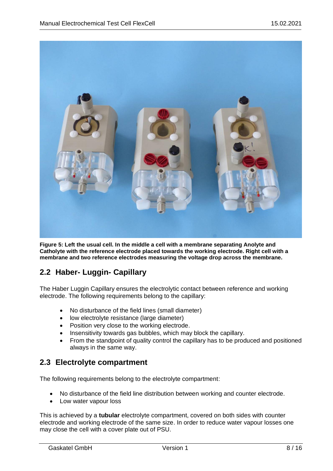

<span id="page-7-2"></span>**Figure 5: Left the usual cell. In the middle a cell with a membrane separating Anolyte and Catholyte with the reference electrode placed towards the working electrode. Right cell with a membrane and two reference electrodes measuring the voltage drop across the membrane.**

## <span id="page-7-0"></span>**2.2 Haber- Luggin- Capillary**

The Haber Luggin Capillary ensures the electrolytic contact between reference and working electrode. The following requirements belong to the capillary:

- No disturbance of the field lines (small diameter)
- low electrolyte resistance (large diameter)
- Position very close to the working electrode.
- Insensitivity towards gas bubbles, which may block the capillary.
- From the standpoint of quality control the capillary has to be produced and positioned always in the same way.

## <span id="page-7-1"></span>**2.3 Electrolyte compartment**

The following requirements belong to the electrolyte compartment:

- No disturbance of the field line distribution between working and counter electrode.
- Low water vapour loss

This is achieved by a **tubular** electrolyte compartment, covered on both sides with counter electrode and working electrode of the same size. In order to reduce water vapour losses one may close the cell with a cover plate out of PSU.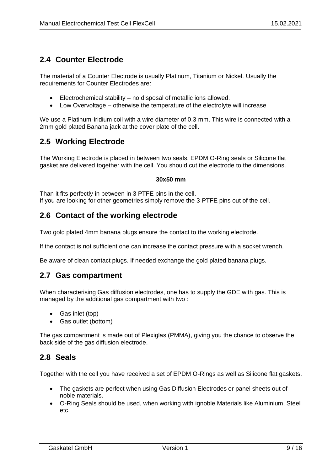## <span id="page-8-0"></span>**2.4 Counter Electrode**

The material of a Counter Electrode is usually Platinum, Titanium or Nickel. Usually the requirements for Counter Electrodes are:

- Electrochemical stability no disposal of metallic ions allowed.
- Low Overvoltage otherwise the temperature of the electrolyte will increase

We use a Platinum-Iridium coil with a wire diameter of 0.3 mm. This wire is connected with a 2mm gold plated Banana jack at the cover plate of the cell.

## <span id="page-8-1"></span>**2.5 Working Electrode**

The Working Electrode is placed in between two seals. EPDM O-Ring seals or Silicone flat gasket are delivered together with the cell. You should cut the electrode to the dimensions.

#### **30x50 mm**

Than it fits perfectly in between in 3 PTFE pins in the cell. If you are looking for other geometries simply remove the 3 PTFE pins out of the cell.

## <span id="page-8-2"></span>**2.6 Contact of the working electrode**

Two gold plated 4mm banana plugs ensure the contact to the working electrode.

If the contact is not sufficient one can increase the contact pressure with a socket wrench.

<span id="page-8-3"></span>Be aware of clean contact plugs. If needed exchange the gold plated banana plugs.

## **2.7 Gas compartment**

When characterising Gas diffusion electrodes, one has to supply the GDE with gas. This is managed by the additional gas compartment with two :

- Gas inlet (top)
- Gas outlet (bottom)

The gas compartment is made out of Plexiglas (PMMA), giving you the chance to observe the back side of the gas diffusion electrode.

## <span id="page-8-4"></span>**2.8 Seals**

Together with the cell you have received a set of EPDM O-Rings as well as Silicone flat gaskets.

- The gaskets are perfect when using Gas Diffusion Electrodes or panel sheets out of noble materials.
- O-Ring Seals should be used, when working with ignoble Materials like Aluminium, Steel etc.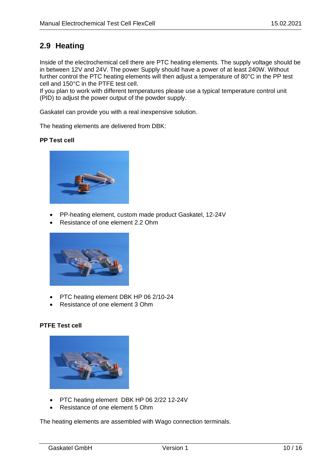## <span id="page-9-0"></span>**2.9 Heating**

Inside of the electrochemical cell there are PTC heating elements. The supply voltage should be in between 12V and 24V. The power Supply should have a power of at least 240W. Without further control the PTC heating elements will then adjust a temperature of 80°C in the PP test cell and 150°C in the PTFE test cell.

If you plan to work with different temperatures please use a typical temperature control unit (PID) to adjust the power output of the powder supply.

Gaskatel can provide you with a real inexpensive solution.

The heating elements are delivered from DBK:

#### **PP Test cell**



- PP-heating element, custom made product Gaskatel, 12-24V
- Resistance of one element 2.2 Ohm



- PTC heating element DBK HP 06 2/10-24
- Resistance of one element 3 Ohm

#### **PTFE Test cell**



- PTC heating element DBK HP 06 2/22 12-24V
- Resistance of one element 5 Ohm

The heating elements are assembled with Wago connection terminals.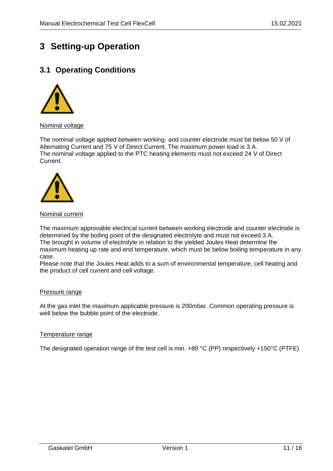## <span id="page-10-0"></span>**3 Setting-up Operation**

## <span id="page-10-1"></span>**3.1 Operating Conditions**



#### Nominal voltage

The nominal voltage applied between working- and counter electrode must be below 50 V of Alternating Current and 75 V of Direct Current. The maximum power load is 3 A. The nominal voltage applied to the PTC heating elements must not exceed 24 V of Direct Current.



#### Nominal current

The maximum approvable electrical current between working electrode and counter electrode is determined by the boiling point of the designated electrolyte and must not exceed 3 A. The brought in volume of electrolyte in relation to the yielded Joules Heat determine the maximum heating up rate and end temperature, which must be below boiling temperature in any case.

Please note that the Joules Heat adds to a sum of environmental temperature, cell heating and the product of cell current and cell voltage.

#### Pressure range

At the gas inlet the maximum applicable pressure is 200mbar. Common operating pressure is well below the bubble point of the electrode.

#### Temperature range

The designated operation range of the test cell is min. +80 °C (PP) respectively +150°C (PTFE)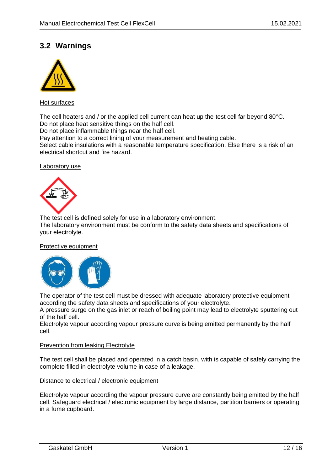## <span id="page-11-0"></span>**3.2 Warnings**



#### Hot surfaces

The cell heaters and / or the applied cell current can heat up the test cell far beyond 80°C. Do not place heat sensitive things on the half cell.

Do not place inflammable things near the half cell.

Pay attention to a correct lining of your measurement and heating cable.

Select cable insulations with a reasonable temperature specification. Else there is a risk of an electrical shortcut and fire hazard.

#### Laboratory use



The test cell is defined solely for use in a laboratory environment. The laboratory environment must be conform to the safety data sheets and specifications of your electrolyte.

#### Protective equipment



The operator of the test cell must be dressed with adequate laboratory protective equipment according the safety data sheets and specifications of your electrolyte.

A pressure surge on the gas inlet or reach of boiling point may lead to electrolyte sputtering out of the half cell.

Electrolyte vapour according vapour pressure curve is being emitted permanently by the half cell.

#### Prevention from leaking Electrolyte

The test cell shall be placed and operated in a catch basin, with is capable of safely carrying the complete filled in electrolyte volume in case of a leakage.

#### Distance to electrical / electronic equipment

Electrolyte vapour according the vapour pressure curve are constantly being emitted by the half cell. Safeguard electrical / electronic equipment by large distance, partition barriers or operating in a fume cupboard.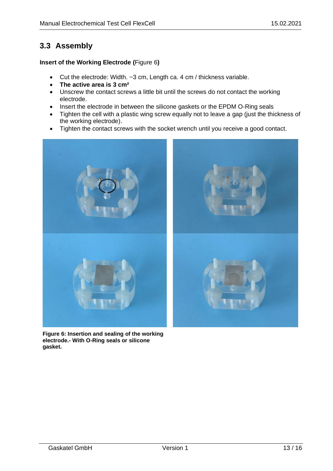## <span id="page-12-0"></span>**3.3 Assembly**

#### **Insert of the Working Electrode (**[Figure 6](#page-12-1)**)**

- Cut the electrode: Width. ~3 cm, Length ca. 4 cm / thickness variable.
- **The active area is 3 cm²**
- Unscrew the contact screws a little bit until the screws do not contact the working electrode.
- Insert the electrode in between the silicone gaskets or the EPDM O-Ring seals
- Tighten the cell with a plastic wing screw equally not to leave a gap (just the thickness of the working electrode).
- Tighten the contact screws with the socket wrench until you receive a good contact.

<span id="page-12-1"></span>

**Figure 6: Insertion and sealing of the working electrode.- With O-Ring seals or silicone gasket.**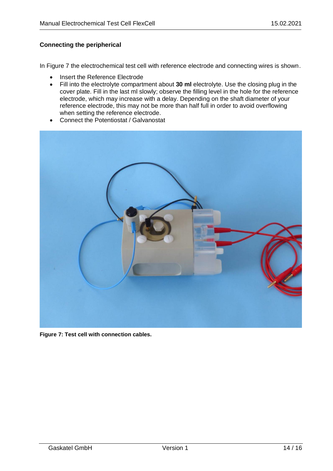#### **Connecting the peripherical**

In [Figure 7](#page-13-0) the electrochemical test cell with reference electrode and connecting wires is shown.

- Insert the Reference Electrode
- Fill into the electrolyte compartment about **30 ml** electrolyte. Use the closing plug in the cover plate. Fill in the last ml slowly; observe the filling level in the hole for the reference electrode, which may increase with a delay. Depending on the shaft diameter of your reference electrode, this may not be more than half full in order to avoid overflowing when setting the reference electrode.
- Connect the Potentiostat / Galvanostat

<span id="page-13-0"></span>

**Figure 7: Test cell with connection cables.**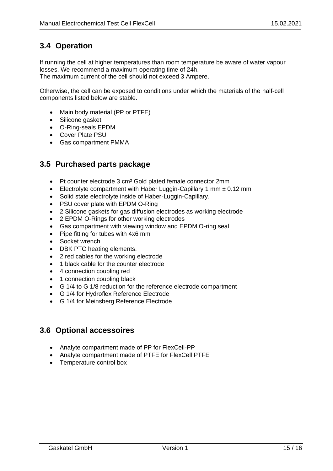## <span id="page-14-0"></span>**3.4 Operation**

If running the cell at higher temperatures than room temperature be aware of water vapour losses. We recommend a maximum operating time of 24h.

The maximum current of the cell should not exceed 3 Ampere.

Otherwise, the cell can be exposed to conditions under which the materials of the half-cell components listed below are stable.

- Main body material (PP or PTFE)
- Silicone gasket
- O-Ring-seals EPDM
- Cover Plate PSU
- Gas compartment PMMA

## <span id="page-14-1"></span>**3.5 Purchased parts package**

- Pt counter electrode 3 cm² Gold plated female connector 2mm
- Electrolyte compartment with Haber Luggin-Capillary 1 mm  $\pm$  0.12 mm
- Solid state electrolyte inside of Haber-Luggin-Capillary.
- PSU cover plate with EPDM O-Ring
- 2 Silicone gaskets for gas diffusion electrodes as working electrode
- 2 EPDM O-Rings for other working electrodes
- Gas compartment with viewing window and EPDM O-ring seal
- Pipe fitting for tubes with 4x6 mm
- Socket wrench
- DBK PTC heating elements.
- 2 red cables for the working electrode
- 1 black cable for the counter electrode
- 4 connection coupling red
- 1 connection coupling black
- G 1/4 to G 1/8 reduction for the reference electrode compartment
- G 1/4 for Hydroflex Reference Electrode
- G 1/4 for Meinsberg Reference Electrode

## **3.6 Optional accessoires**

- Analyte compartment made of PP for FlexCell-PP
- Analyte compartment made of PTFE for FlexCell PTFE
- Temperature control box